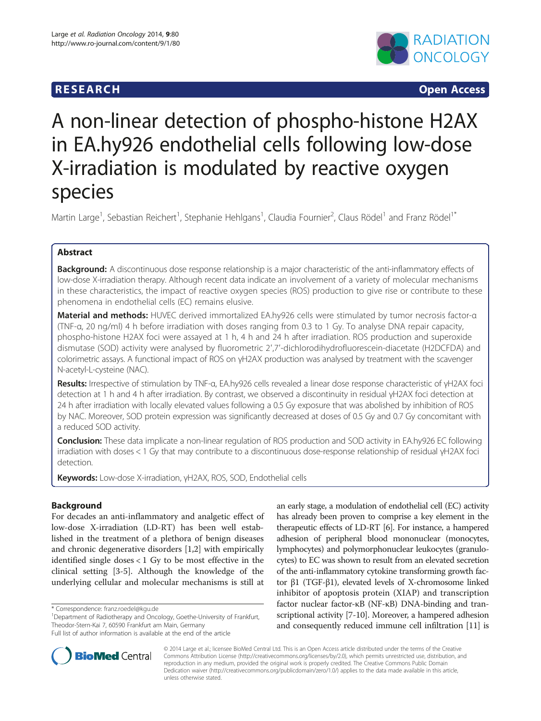## **RESEARCH CHINESE ARCH CHINESE ARCH CHINESE ARCH**



# A non-linear detection of phospho-histone H2AX in EA.hy926 endothelial cells following low-dose X-irradiation is modulated by reactive oxygen species

Martin Large<sup>1</sup>, Sebastian Reichert<sup>1</sup>, Stephanie Hehlgans<sup>1</sup>, Claudia Fournier<sup>2</sup>, Claus Rödel<sup>1</sup> and Franz Rödel<sup>1\*</sup>

## Abstract

Background: A discontinuous dose response relationship is a major characteristic of the anti-inflammatory effects of low-dose X-irradiation therapy. Although recent data indicate an involvement of a variety of molecular mechanisms in these characteristics, the impact of reactive oxygen species (ROS) production to give rise or contribute to these phenomena in endothelial cells (EC) remains elusive.

Material and methods: HUVEC derived immortalized EA.hy926 cells were stimulated by tumor necrosis factor-α (TNF-α, 20 ng/ml) 4 h before irradiation with doses ranging from 0.3 to 1 Gy. To analyse DNA repair capacity, phospho-histone H2AX foci were assayed at 1 h, 4 h and 24 h after irradiation. ROS production and superoxide dismutase (SOD) activity were analysed by fluorometric 2′,7′-dichlorodihydrofluorescein-diacetate (H2DCFDA) and colorimetric assays. A functional impact of ROS on γH2AX production was analysed by treatment with the scavenger N-acetyl-L-cysteine (NAC).

Results: Irrespective of stimulation by TNF-α, EA.hy926 cells revealed a linear dose response characteristic of γH2AX foci detection at 1 h and 4 h after irradiation. By contrast, we observed a discontinuity in residual γH2AX foci detection at 24 h after irradiation with locally elevated values following a 0.5 Gy exposure that was abolished by inhibition of ROS by NAC. Moreover, SOD protein expression was significantly decreased at doses of 0.5 Gy and 0.7 Gy concomitant with a reduced SOD activity.

**Conclusion:** These data implicate a non-linear regulation of ROS production and SOD activity in EA.hy926 EC following irradiation with doses < 1 Gy that may contribute to a discontinuous dose-response relationship of residual γH2AX foci detection.

Keywords: Low-dose X-irradiation, γH2AX, ROS, SOD, Endothelial cells

## Background

For decades an anti-inflammatory and analgetic effect of low-dose X-irradiation (LD-RT) has been well established in the treatment of a plethora of benign diseases and chronic degenerative disorders [[1](#page-6-0),[2](#page-6-0)] with empirically identified single doses  $< 1$  Gy to be most effective in the clinical setting [\[3](#page-6-0)-[5\]](#page-6-0). Although the knowledge of the underlying cellular and molecular mechanisms is still at

an early stage, a modulation of endothelial cell (EC) activity has already been proven to comprise a key element in the therapeutic effects of LD-RT [[6\]](#page-6-0). For instance, a hampered adhesion of peripheral blood mononuclear (monocytes, lymphocytes) and polymorphonuclear leukocytes (granulocytes) to EC was shown to result from an elevated secretion of the anti-inflammatory cytokine transforming growth factor β1 (TGF-β1), elevated levels of X-chromosome linked inhibitor of apoptosis protein (XIAP) and transcription factor nuclear factor-κB (NF-κB) DNA-binding and transcriptional activity [[7-](#page-6-0)[10\]](#page-7-0). Moreover, a hampered adhesion and consequently reduced immune cell infiltration [\[11\]](#page-7-0) is



© 2014 Large et al.; licensee BioMed Central Ltd. This is an Open Access article distributed under the terms of the Creative Commons Attribution License [\(http://creativecommons.org/licenses/by/2.0\)](http://creativecommons.org/licenses/by/2.0), which permits unrestricted use, distribution, and reproduction in any medium, provided the original work is properly credited. The Creative Commons Public Domain Dedication waiver [\(http://creativecommons.org/publicdomain/zero/1.0/](http://creativecommons.org/publicdomain/zero/1.0/)) applies to the data made available in this article, unless otherwise stated.

<sup>\*</sup> Correspondence: [franz.roedel@kgu.de](mailto:franz.roedel@kgu.de) <sup>1</sup>

<sup>&</sup>lt;sup>1</sup>Department of Radiotherapy and Oncology, Goethe-University of Frankfurt, Theodor-Stern-Kai 7, 60590 Frankfurt am Main, Germany

Full list of author information is available at the end of the article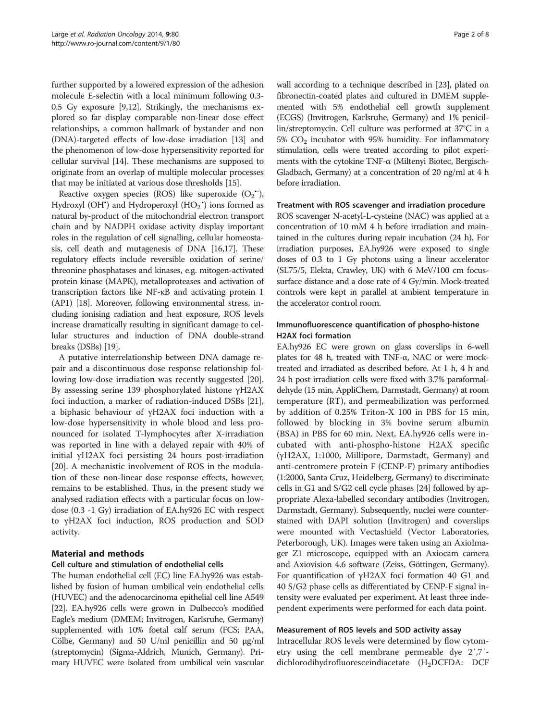further supported by a lowered expression of the adhesion molecule E-selectin with a local minimum following 0.3- 0.5 Gy exposure [\[9,12](#page-7-0)]. Strikingly, the mechanisms explored so far display comparable non-linear dose effect relationships, a common hallmark of bystander and non (DNA)-targeted effects of low-dose irradiation [\[13\]](#page-7-0) and the phenomenon of low-dose hypersensitivity reported for cellular survival [[14\]](#page-7-0). These mechanisms are supposed to originate from an overlap of multiple molecular processes that may be initiated at various dose thresholds [\[15\]](#page-7-0).

Reactive oxygen species (ROS) like superoxide  $(O_2^{\bullet})$ , Hydroxyl (OH<sup>\*</sup>) and Hydroperoxyl (HO<sub>2</sub><sup>\*)</sup> ions formed as natural by-product of the mitochondrial electron transport chain and by NADPH oxidase activity display important roles in the regulation of cell signalling, cellular homeostasis, cell death and mutagenesis of DNA [[16,17\]](#page-7-0). These regulatory effects include reversible oxidation of serine/ threonine phosphatases and kinases, e.g. mitogen-activated protein kinase (MAPK), metalloproteases and activation of transcription factors like NF-κB and activating protein 1 (AP1) [[18](#page-7-0)]. Moreover, following environmental stress, including ionising radiation and heat exposure, ROS levels increase dramatically resulting in significant damage to cellular structures and induction of DNA double-strand breaks (DSBs) [[19](#page-7-0)].

A putative interrelationship between DNA damage repair and a discontinuous dose response relationship following low-dose irradiation was recently suggested [\[20](#page-7-0)]. By assessing serine 139 phosphorylated histone γH2AX foci induction, a marker of radiation-induced DSBs [\[21](#page-7-0)], a biphasic behaviour of γH2AX foci induction with a low-dose hypersensitivity in whole blood and less pronounced for isolated T-lymphocytes after X-irradiation was reported in line with a delayed repair with 40% of initial γH2AX foci persisting 24 hours post-irradiation [[20\]](#page-7-0). A mechanistic involvement of ROS in the modulation of these non-linear dose response effects, however, remains to be established. Thus, in the present study we analysed radiation effects with a particular focus on lowdose (0.3 -1 Gy) irradiation of EA.hy926 EC with respect to γH2AX foci induction, ROS production and SOD activity.

## Material and methods

#### Cell culture and stimulation of endothelial cells

The human endothelial cell (EC) line EA.hy926 was established by fusion of human umbilical vein endothelial cells (HUVEC) and the adenocarcinoma epithelial cell line A549 [[22](#page-7-0)]. EA.hy926 cells were grown in Dulbecco's modified Eagle's medium (DMEM; Invitrogen, Karlsruhe, Germany) supplemented with 10% foetal calf serum (FCS; PAA, Cölbe, Germany) and 50 U/ml penicillin and 50 μg/ml (streptomycin) (Sigma-Aldrich, Munich, Germany). Primary HUVEC were isolated from umbilical vein vascular

wall according to a technique described in [[23](#page-7-0)], plated on fibronectin-coated plates and cultured in DMEM supplemented with 5% endothelial cell growth supplement (ECGS) (Invitrogen, Karlsruhe, Germany) and 1% penicillin/streptomycin. Cell culture was performed at 37°C in a 5%  $CO<sub>2</sub>$  incubator with 95% humidity. For inflammatory stimulation, cells were treated according to pilot experiments with the cytokine TNF-α (Miltenyi Biotec, Bergisch-Gladbach, Germany) at a concentration of 20 ng/ml at 4 h before irradiation.

#### Treatment with ROS scavenger and irradiation procedure

ROS scavenger N-acetyl-L-cysteine (NAC) was applied at a concentration of 10 mM 4 h before irradiation and maintained in the cultures during repair incubation (24 h). For irradiation purposes, EA.hy926 were exposed to single doses of 0.3 to 1 Gy photons using a linear accelerator (SL75/5, Elekta, Crawley, UK) with 6 MeV/100 cm focussurface distance and a dose rate of 4 Gy/min. Mock-treated controls were kept in parallel at ambient temperature in the accelerator control room.

## Immunofluorescence quantification of phospho-histone H2AX foci formation

EA.hy926 EC were grown on glass coverslips in 6-well plates for 48 h, treated with TNF- $\alpha$ , NAC or were mocktreated and irradiated as described before. At 1 h, 4 h and 24 h post irradiation cells were fixed with 3.7% paraformaldehyde (15 min, AppliChem, Darmstadt, Germany) at room temperature (RT), and permeabilization was performed by addition of 0.25% Triton-X 100 in PBS for 15 min, followed by blocking in 3% bovine serum albumin (BSA) in PBS for 60 min. Next, EA.hy926 cells were incubated with anti-phospho-histone H2AX specific (γH2AX, 1:1000, Millipore, Darmstadt, Germany) and anti-centromere protein F (CENP-F) primary antibodies (1:2000, Santa Cruz, Heidelberg, Germany) to discriminate cells in G1 and S/G2 cell cycle phases [\[24](#page-7-0)] followed by appropriate Alexa-labelled secondary antibodies (Invitrogen, Darmstadt, Germany). Subsequently, nuclei were counterstained with DAPI solution (Invitrogen) and coverslips were mounted with Vectashield (Vector Laboratories, Peterborough, UK). Images were taken using an AxioImager Z1 microscope, equipped with an Axiocam camera and Axiovision 4.6 software (Zeiss, Göttingen, Germany). For quantification of γH2AX foci formation 40 G1 and 40 S/G2 phase cells as differentiated by CENP-F signal intensity were evaluated per experiment. At least three independent experiments were performed for each data point.

#### Measurement of ROS levels and SOD activity assay

Intracellular ROS levels were determined by flow cytometry using the cell membrane permeable dye 2′,7′ dichlorodihydrofluoresceindiacetate  $(H_2DCFDA: DCF$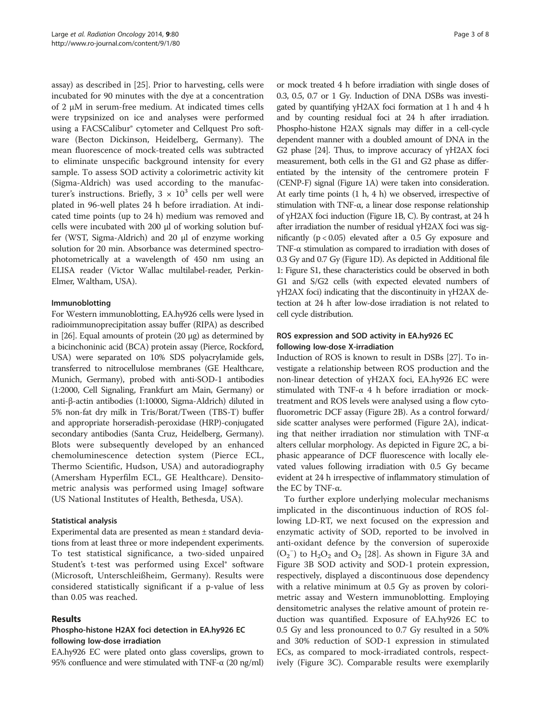assay) as described in [[25](#page-7-0)]. Prior to harvesting, cells were incubated for 90 minutes with the dye at a concentration of 2 μM in serum-free medium. At indicated times cells were trypsinized on ice and analyses were performed using a FACSCalibur® cytometer and Cellquest Pro software (Becton Dickinson, Heidelberg, Germany). The mean fluorescence of mock-treated cells was subtracted to eliminate unspecific background intensity for every sample. To assess SOD activity a colorimetric activity kit (Sigma-Aldrich) was used according to the manufacturer's instructions. Briefly,  $3 \times 10^3$  cells per well were plated in 96-well plates 24 h before irradiation. At indicated time points (up to 24 h) medium was removed and cells were incubated with 200 μl of working solution buffer (WST, Sigma-Aldrich) and 20 μl of enzyme working solution for 20 min. Absorbance was determined spectrophotometrically at a wavelength of 450 nm using an ELISA reader (Victor Wallac multilabel-reader, Perkin-Elmer, Waltham, USA).

#### Immunoblotting

For Western immunoblotting, EA.hy926 cells were lysed in radioimmunoprecipitation assay buffer (RIPA) as described in [\[26\]](#page-7-0). Equal amounts of protein (20 μg) as determined by a bicinchoninic acid (BCA) protein assay (Pierce, Rockford, USA) were separated on 10% SDS polyacrylamide gels, transferred to nitrocellulose membranes (GE Healthcare, Munich, Germany), probed with anti-SOD-1 antibodies (1:2000, Cell Signaling, Frankfurt am Main, Germany) or anti-β-actin antibodies (1:10000, Sigma-Aldrich) diluted in 5% non-fat dry milk in Tris/Borat/Tween (TBS-T) buffer and appropriate horseradish-peroxidase (HRP)-conjugated secondary antibodies (Santa Cruz, Heidelberg, Germany). Blots were subsequently developed by an enhanced chemoluminescence detection system (Pierce ECL, Thermo Scientific, Hudson, USA) and autoradiography (Amersham Hyperfilm ECL, GE Healthcare). Densitometric analysis was performed using ImageJ software (US National Institutes of Health, Bethesda, USA).

#### Statistical analysis

Experimental data are presented as mean ± standard deviations from at least three or more independent experiments. To test statistical significance, a two-sided unpaired Student's t-test was performed using Excel® software (Microsoft, Unterschleißheim, Germany). Results were considered statistically significant if a p-value of less than 0.05 was reached.

#### Results

## Phospho-histone H2AX foci detection in EA.hy926 EC following low-dose irradiation

EA.hy926 EC were plated onto glass coverslips, grown to 95% confluence and were stimulated with TNF-α (20 ng/ml)

or mock treated 4 h before irradiation with single doses of 0.3, 0.5, 0.7 or 1 Gy. Induction of DNA DSBs was investigated by quantifying γH2AX foci formation at 1 h and 4 h and by counting residual foci at 24 h after irradiation. Phospho-histone H2AX signals may differ in a cell-cycle dependent manner with a doubled amount of DNA in the G2 phase [\[24\]](#page-7-0). Thus, to improve accuracy of  $\gamma$ H2AX foci measurement, both cells in the G1 and G2 phase as differentiated by the intensity of the centromere protein F (CENP-F) signal (Figure [1A](#page-3-0)) were taken into consideration. At early time points (1 h, 4 h) we observed, irrespective of stimulation with TNF-α, a linear dose response relationship of γH2AX foci induction (Figure [1B](#page-3-0), C). By contrast, at 24 h after irradiation the number of residual γH2AX foci was significantly  $(p < 0.05)$  elevated after a 0.5 Gy exposure and TNF-α stimulation as compared to irradiation with doses of 0.3 Gy and 0.7 Gy (Figure [1](#page-3-0)D). As depicted in Additional file [1](#page-6-0): Figure S1, these characteristics could be observed in both G1 and S/G2 cells (with expected elevated numbers of γH2AX foci) indicating that the discontinuity in γH2AX detection at 24 h after low-dose irradiation is not related to cell cycle distribution.

## ROS expression and SOD activity in EA.hy926 EC following low-dose X-irradiation

Induction of ROS is known to result in DSBs [[27](#page-7-0)]. To investigate a relationship between ROS production and the non-linear detection of γH2AX foci, EA.hy926 EC were stimulated with TNF-α 4 h before irradiation or mocktreatment and ROS levels were analysed using a flow cytofluorometric DCF assay (Figure [2](#page-4-0)B). As a control forward/ side scatter analyses were performed (Figure [2A](#page-4-0)), indicating that neither irradiation nor stimulation with TNF-α alters cellular morphology. As depicted in Figure [2C](#page-4-0), a biphasic appearance of DCF fluorescence with locally elevated values following irradiation with 0.5 Gy became evident at 24 h irrespective of inflammatory stimulation of the EC by TNF-α.

To further explore underlying molecular mechanisms implicated in the discontinuous induction of ROS following LD-RT, we next focused on the expression and enzymatic activity of SOD, reported to be involved in anti-oxidant defence by the conversion of superoxide  $(O_2^-)$  to  $H_2O_2$  and  $O_2$  [[28](#page-7-0)]. As shown in Figure [3](#page-5-0)A and Figure [3B](#page-5-0) SOD activity and SOD-1 protein expression, respectively, displayed a discontinuous dose dependency with a relative minimum at 0.5 Gy as proven by colorimetric assay and Western immunoblotting. Employing densitometric analyses the relative amount of protein reduction was quantified. Exposure of EA.hy926 EC to 0.5 Gy and less pronounced to 0.7 Gy resulted in a 50% and 30% reduction of SOD-1 expression in stimulated ECs, as compared to mock-irradiated controls, respectively (Figure [3C](#page-5-0)). Comparable results were exemplarily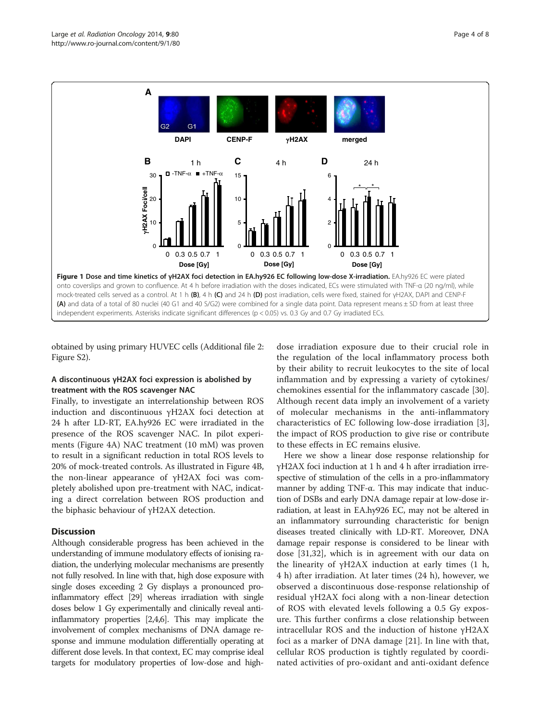<span id="page-3-0"></span>

obtained by using primary HUVEC cells (Additional file [2](#page-6-0): Figure S2).

#### A discontinuous γH2AX foci expression is abolished by treatment with the ROS scavenger NAC

Finally, to investigate an interrelationship between ROS induction and discontinuous γH2AX foci detection at 24 h after LD-RT, EA.hy926 EC were irradiated in the presence of the ROS scavenger NAC. In pilot experiments (Figure [4](#page-5-0)A) NAC treatment (10 mM) was proven to result in a significant reduction in total ROS levels to 20% of mock-treated controls. As illustrated in Figure [4B](#page-5-0), the non-linear appearance of γH2AX foci was completely abolished upon pre-treatment with NAC, indicating a direct correlation between ROS production and the biphasic behaviour of γH2AX detection.

## **Discussion**

Although considerable progress has been achieved in the understanding of immune modulatory effects of ionising radiation, the underlying molecular mechanisms are presently not fully resolved. In line with that, high dose exposure with single doses exceeding 2 Gy displays a pronounced proinflammatory effect [\[29\]](#page-7-0) whereas irradiation with single doses below 1 Gy experimentally and clinically reveal antiinflammatory properties [\[2,4,6](#page-6-0)]. This may implicate the involvement of complex mechanisms of DNA damage response and immune modulation differentially operating at different dose levels. In that context, EC may comprise ideal targets for modulatory properties of low-dose and high-

dose irradiation exposure due to their crucial role in the regulation of the local inflammatory process both by their ability to recruit leukocytes to the site of local inflammation and by expressing a variety of cytokines/ chemokines essential for the inflammatory cascade [\[30](#page-7-0)]. Although recent data imply an involvement of a variety of molecular mechanisms in the anti-inflammatory characteristics of EC following low-dose irradiation [\[3](#page-6-0)], the impact of ROS production to give rise or contribute to these effects in EC remains elusive.

Here we show a linear dose response relationship for γH2AX foci induction at 1 h and 4 h after irradiation irrespective of stimulation of the cells in a pro-inflammatory manner by adding TNF-α. This may indicate that induction of DSBs and early DNA damage repair at low-dose irradiation, at least in EA.hy926 EC, may not be altered in an inflammatory surrounding characteristic for benign diseases treated clinically with LD-RT. Moreover, DNA damage repair response is considered to be linear with dose [\[31](#page-7-0),[32\]](#page-7-0), which is in agreement with our data on the linearity of  $γH2AX$  induction at early times (1 h, 4 h) after irradiation. At later times (24 h), however, we observed a discontinuous dose-response relationship of residual γH2AX foci along with a non-linear detection of ROS with elevated levels following a 0.5 Gy exposure. This further confirms a close relationship between intracellular ROS and the induction of histone γH2AX foci as a marker of DNA damage [[21\]](#page-7-0). In line with that, cellular ROS production is tightly regulated by coordinated activities of pro-oxidant and anti-oxidant defence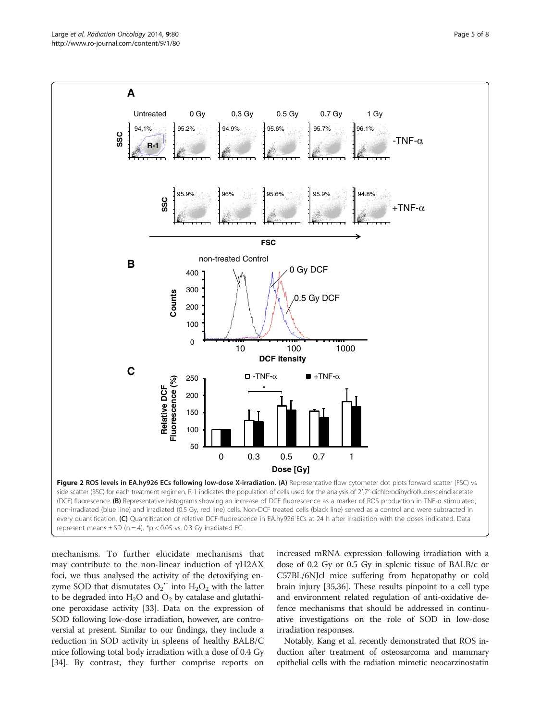<span id="page-4-0"></span>

mechanisms. To further elucidate mechanisms that may contribute to the non-linear induction of γH2AX foci, we thus analysed the activity of the detoxifying enzyme SOD that dismutates  $O_2$ <sup>\*</sup> into  $H_2O_2$  with the latter to be degraded into  $H_2O$  and  $O_2$  by catalase and glutathione peroxidase activity [\[33\]](#page-7-0). Data on the expression of SOD following low-dose irradiation, however, are controversial at present. Similar to our findings, they include a reduction in SOD activity in spleens of healthy BALB/C mice following total body irradiation with a dose of 0.4 Gy [[34](#page-7-0)]. By contrast, they further comprise reports on increased mRNA expression following irradiation with a dose of 0.2 Gy or 0.5 Gy in splenic tissue of BALB/c or C57BL/6NJcl mice suffering from hepatopathy or cold brain injury [\[35,36\]](#page-7-0). These results pinpoint to a cell type and environment related regulation of anti-oxidative defence mechanisms that should be addressed in continuative investigations on the role of SOD in low-dose irradiation responses.

Notably, Kang et al. recently demonstrated that ROS induction after treatment of osteosarcoma and mammary epithelial cells with the radiation mimetic neocarzinostatin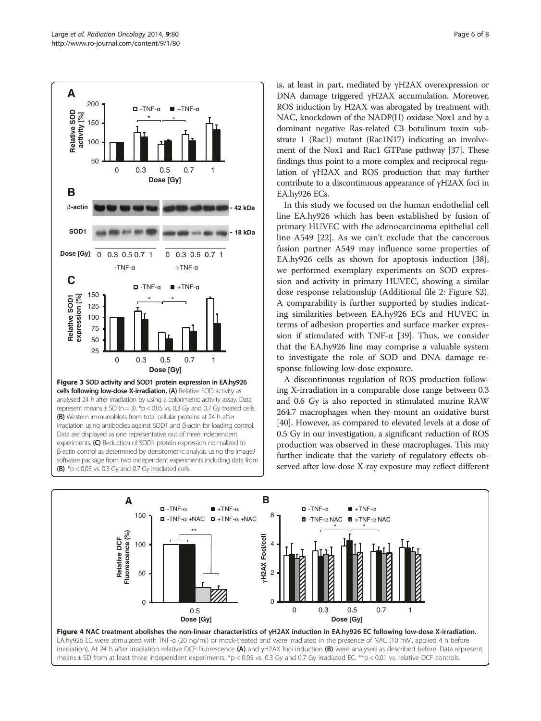<span id="page-5-0"></span>

is, at least in part, mediated by γH2AX overexpression or DNA damage triggered γH2AX accumulation. Moreover, ROS induction by H2AX was abrogated by treatment with NAC, knockdown of the NADP(H) oxidase Nox1 and by a dominant negative Ras-related C3 botulinum toxin substrate 1 (Rac1) mutant (Rac1N17) indicating an involvement of the Nox1 and Rac1 GTPase pathway [[37](#page-7-0)]. These findings thus point to a more complex and reciprocal regulation of γH2AX and ROS production that may further contribute to a discontinuous appearance of γH2AX foci in EA.hy926 ECs.

In this study we focused on the human endothelial cell line EA.hy926 which has been established by fusion of primary HUVEC with the adenocarcinoma epithelial cell line A549 [[22](#page-7-0)]. As we can't exclude that the cancerous fusion partner A549 may influence some properties of EA.hy926 cells as shown for apoptosis induction [\[38](#page-7-0)], we performed exemplary experiments on SOD expression and activity in primary HUVEC, showing a similar dose response relationship (Additional file [2](#page-6-0): Figure S2). A comparability is further supported by studies indicating similarities between EA.hy926 ECs and HUVEC in terms of adhesion properties and surface marker expression if stimulated with TNF- $\alpha$  [[39\]](#page-7-0). Thus, we consider that the EA.hy926 line may comprise a valuable system to investigate the role of SOD and DNA damage response following low-dose exposure.

A discontinuous regulation of ROS production following X-irradiation in a comparable dose range between 0.3 and 0.6 Gy is also reported in stimulated murine RAW 264.7 macrophages when they mount an oxidative burst [[40](#page-7-0)]. However, as compared to elevated levels at a dose of 0.5 Gy in our investigation, a significant reduction of ROS production was observed in these macrophages. This may further indicate that the variety of regulatory effects observed after low-dose X-ray exposure may reflect different

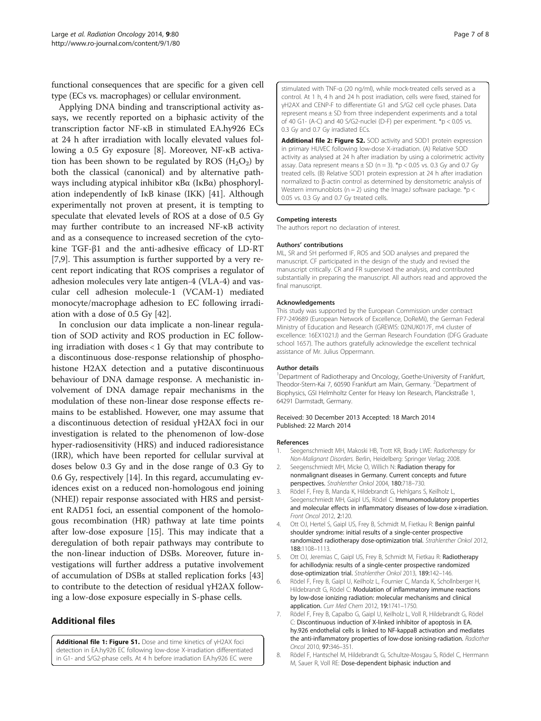<span id="page-6-0"></span>functional consequences that are specific for a given cell type (ECs vs. macrophages) or cellular environment.

Applying DNA binding and transcriptional activity assays, we recently reported on a biphasic activity of the transcription factor NF-κB in stimulated EA.hy926 ECs at 24 h after irradiation with locally elevated values following a 0.5 Gy exposure [8]. Moreover, NF-κB activation has been shown to be regulated by ROS  $(H_2O_2)$  by both the classical (canonical) and by alternative pathways including atypical inhibitor κBα (IκBα) phosphorylation independently of IκB kinase (IKK) [[41\]](#page-7-0). Although experimentally not proven at present, it is tempting to speculate that elevated levels of ROS at a dose of 0.5 Gy may further contribute to an increased NF-κB activity and as a consequence to increased secretion of the cytokine TGF-β1 and the anti-adhesive efficacy of LD-RT [7,[9\]](#page-7-0). This assumption is further supported by a very recent report indicating that ROS comprises a regulator of adhesion molecules very late antigen-4 (VLA-4) and vascular cell adhesion molecule-1 (VCAM-1) mediated monocyte/macrophage adhesion to EC following irradiation with a dose of 0.5 Gy [\[42](#page-7-0)].

In conclusion our data implicate a non-linear regulation of SOD activity and ROS production in EC following irradiation with doses < 1 Gy that may contribute to a discontinuous dose-response relationship of phosphohistone H2AX detection and a putative discontinuous behaviour of DNA damage response. A mechanistic involvement of DNA damage repair mechanisms in the modulation of these non-linear dose response effects remains to be established. However, one may assume that a discontinuous detection of residual γH2AX foci in our investigation is related to the phenomenon of low-dose hyper-radiosensitivity (HRS) and induced radioresistance (IRR), which have been reported for cellular survival at doses below 0.3 Gy and in the dose range of 0.3 Gy to 0.6 Gy, respectively [[14\]](#page-7-0). In this regard, accumulating evidences exist on a reduced non-homologous end joining (NHEJ) repair response associated with HRS and persistent RAD51 foci, an essential component of the homologous recombination (HR) pathway at late time points after low-dose exposure [\[15\]](#page-7-0). This may indicate that a deregulation of both repair pathways may contribute to the non-linear induction of DSBs. Moreover, future investigations will further address a putative involvement of accumulation of DSBs at stalled replication forks [[43](#page-7-0)] to contribute to the detection of residual γH2AX following a low-dose exposure especially in S-phase cells.

## Additional files

[Additional file 1: Figure S1.](http://www.biomedcentral.com/content/supplementary/1748-717X-9-80-S1.pptx) Dose and time kinetics of γH2AX foci detection in EA.hy926 EC following low-dose X-irradiation differentiated in G1- and S/G2-phase cells. At 4 h before irradiation EA.hy926 EC were

stimulated with TNF-α (20 ng/ml), while mock-treated cells served as a control. At 1 h, 4 h and 24 h post irradiation, cells were fixed, stained for γH2AX and CENP-F to differentiate G1 and S/G2 cell cycle phases. Data represent means ± SD from three independent experiments and a total of 40 G1- (A-C) and 40 S/G2-nuclei (D-F) per experiment. \*p < 0.05 vs. 0.3 Gy and 0.7 Gy irradiated ECs.

[Additional file 2: Figure S2.](http://www.biomedcentral.com/content/supplementary/1748-717X-9-80-S2.pptx) SOD activity and SOD1 protein expression in primary HUVEC following low-dose X-irradiation. (A) Relative SOD activity as analysed at 24 h after irradiation by using a colorimetric activity assay. Data represent means  $\pm$  SD (n = 3). \*p < 0.05 vs. 0.3 Gy and 0.7 Gy treated cells. (B) Relative SOD1 protein expression at 24 h after irradiation normalized to β-actin control as determined by densitometric analysis of Western immunoblots ( $n = 2$ ) using the ImageJ software package. \*p < 0.05 vs. 0.3 Gy and 0.7 Gy treated cells.

#### Competing interests

The authors report no declaration of interest.

#### Authors' contributions

ML, SR and SH performed IF, ROS and SOD analyses and prepared the manuscript. CF participated in the design of the study and revised the manuscript critically. CR and FR supervised the analysis, and contributed substantially in preparing the manuscript. All authors read and approved the final manuscript.

#### Acknowledgements

This study was supported by the European Commission under contract FP7-249689 (European Network of Excellence, DoReMi), the German Federal Ministry of Education and Research (GREWIS: 02NUK017F, m4 cluster of excellence: 16EX1021J) and the German Research Foundation (DFG Graduate school 1657). The authors gratefully acknowledge the excellent technical assistance of Mr. Julius Oppermann.

#### Author details

<sup>1</sup>Department of Radiotherapy and Oncology, Goethe-University of Frankfurt, Theodor-Stern-Kai 7, 60590 Frankfurt am Main, Germany. <sup>2</sup>Department of Biophysics, GSI Helmholtz Center for Heavy Ion Research, Planckstraße 1, 64291 Darmstadt, Germany.

#### Received: 30 December 2013 Accepted: 18 March 2014 Published: 22 March 2014

#### References

- Seegenschmiedt MH, Makoski HB, Trott KR, Brady LWE: Radiotherapy for Non-Malignant Disorders. Berlin, Heidelberg: Springer Verlag; 2008.
- 2. Seegenschmiedt MH, Micke O, Willich N: Radiation therapy for nonmalignant diseases in Germany. Current concepts and future perspectives. Strahlenther Onkol 2004, 180:718–730.
- 3. Rödel F, Frey B, Manda K, Hildebrandt G, Hehlgans S, Keilholz L, Seegenschmiedt MH, Gaipl US, Rödel C: Immunomodulatory properties and molecular effects in inflammatory diseases of low-dose x-irradiation. Front Oncol 2012, 2:120.
- 4. Ott OJ, Hertel S, Gaipl US, Frey B, Schmidt M, Fietkau R: Benign painful shoulder syndrome: initial results of a single-center prospective randomized radiotherapy dose-optimization trial. Strahlenther Onkol 2012, 188:1108–1113.
- 5. Ott OJ, Jeremias C, Gaipl US, Frey B, Schmidt M, Fietkau R: Radiotherapy for achillodynia: results of a single-center prospective randomized dose-optimization trial. Strahlenther Onkol 2013, 189:142–146.
- 6. Rödel F, Frey B, Gaipl U, Keilholz L, Fournier C, Manda K, Schollnberger H, Hildebrandt G, Rödel C: Modulation of inflammatory immune reactions by low-dose ionizing radiation: molecular mechanisms and clinical application. Curr Med Chem 2012, 19:1741–1750.
- 7. Rödel F, Frey B, Capalbo G, Gaipl U, Keilholz L, Voll R, Hildebrandt G, Rödel C: Discontinuous induction of X-linked inhibitor of apoptosis in EA. hy.926 endothelial cells is linked to NF-kappaB activation and mediates the anti-inflammatory properties of low-dose ionising-radiation. Radiother Oncol 2010, 97:346–351.
- 8. Rödel F, Hantschel M, Hildebrandt G, Schultze-Mosgau S, Rödel C, Herrmann M, Sauer R, Voll RE: Dose-dependent biphasic induction and